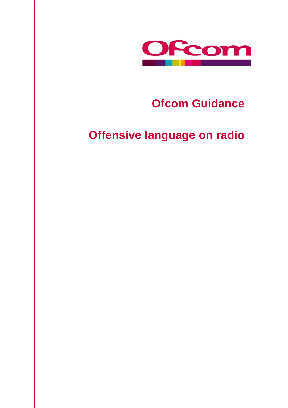

## **Ofcom Guidance**

# **Offensive language on radio**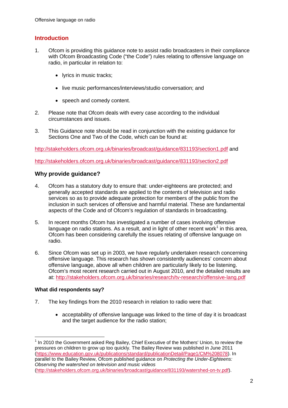## **Introduction**

- 1. Ofcom is providing this guidance note to assist radio broadcasters in their compliance with Ofcom Broadcasting Code ("the Code") rules relating to offensive language on radio, in particular in relation to:
	- lyrics in music tracks;
	- live music performances/interviews/studio conversation; and
	- speech and comedy content.
- 2. Please note that Ofcom deals with every case according to the individual circumstances and issues.
- 3. This Guidance note should be read in conjunction with the existing guidance for Sections One and Two of the Code, which can be found at:

<http://stakeholders.ofcom.org.uk/binaries/broadcast/guidance/831193/section1.pdf> and

<http://stakeholders.ofcom.org.uk/binaries/broadcast/guidance/831193/section2.pdf>

## **Why provide guidance?**

- 4. Ofcom has a statutory duty to ensure that: under-eighteens are protected; and generally accepted standards are applied to the contents of television and radio services so as to provide adequate protection for members of the public from the inclusion in such services of offensive and harmful material. These are fundamental aspects of the Code and of Ofcom's regulation of standards in broadcasting.
- 5. In recent months Ofcom has investigated a number of cases involving offensive language on radio stations. As a result, and in light of other recent work<sup>[1](#page-1-0)</sup> in this area, Ofcom has been considering carefully the issues relating of offensive language on radio.
- 6. Since Ofcom was set up in 2003, we have regularly undertaken research concerning offensive language. This research has shown consistently audiences' concern about offensive language, above all when children are particularly likely to be listening. Ofcom's most recent research carried out in August 2010, and the detailed results are at: <http://stakeholders.ofcom.org.uk/binaries/research/tv-research/offensive-lang.pdf>

#### **What did respondents say?**

- 7. The key findings from the 2010 research in relation to radio were that:
	- acceptability of offensive language was linked to the time of day it is broadcast and the target audience for the radio station;

<span id="page-1-0"></span> $<sup>1</sup>$  In 2010 the Government asked Reg Bailey, Chief Executive of the Mothers' Union, to review the</sup> pressures on children to grow up too quickly. The Bailey Review was published in June 2011 [\(https://www.education.gov.uk/publications/standard/publicationDetail/Page1/CM%208078\)](https://www.education.gov.uk/publications/standard/publicationDetail/Page1/CM%208078). In parallel to the Bailey Review, Ofcom published guidance on *Protecting the Under-Eighteens: Observing the watershed on television and music videos* [\(http://stakeholders.ofcom.org.uk/binaries/broadcast/guidance/831193/watershed-on-tv.pdf\)](http://stakeholders.ofcom.org.uk/binaries/broadcast/guidance/831193/watershed-on-tv.pdf).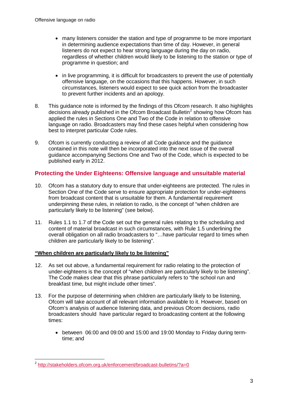- many listeners consider the station and type of programme to be more important in determining audience expectations than time of day. However, in general listeners do not expect to hear strong language during the day on radio, regardless of whether children would likely to be listening to the station or type of programme in question; and
- in live programming, it is difficult for broadcasters to prevent the use of potentially offensive language, on the occasions that this happens. However, in such circumstances, listeners would expect to see quick action from the broadcaster to prevent further incidents and an apology.
- 8. This guidance note is informed by the findings of this Ofcom research. It also highlights decisions already published in the Ofcom Broadcast Bulletin<sup>[2](#page-2-0)</sup> showing how Ofcom has applied the rules in Sections One and Two of the Code in relation to offensive language on radio. Broadcasters may find these cases helpful when considering how best to interpret particular Code rules.
- 9. Ofcom is currently conducting a review of all Code guidance and the guidance contained in this note will then be incorporated into the next issue of the overall guidance accompanying Sections One and Two of the Code, which is expected to be published early in 2012.

## **Protecting the Under Eighteens: Offensive language and unsuitable material**

- 10. Ofcom has a statutory duty to ensure that under-eighteens are protected. The rules in Section One of the Code serve to ensure appropriate protection for under-eighteens from broadcast content that is unsuitable for them. A fundamental requirement underpinning these rules, in relation to radio, is the concept of "when children are particularly likely to be listening" (see below).
- 11. Rules 1.1 to 1.7 of the Code set out the general rules relating to the scheduling and content of material broadcast in such circumstances, with Rule 1.5 underlining the overall obligation on all radio broadcasters to "…have particular regard to times when children are particularly likely to be listening".

## **"When children are particularly likely to be listening"**

- 12. As set out above, a fundamental requirement for radio relating to the protection of under-eighteens is the concept of "when children are particularly likely to be listening". The Code makes clear that this phrase particularly refers to "the school run and breakfast time, but might include other times".
- 13. For the purpose of determining when children are particularly likely to be listening, Ofcom will take account of all relevant information available to it. However, based on Ofcom's analysis of audience listening data, and previous Ofcom decisions, radio broadcasters should have particular regard to broadcasting content at the following times:
	- between 06:00 and 09:00 and 15:00 and 19:00 Monday to Friday during termtime; and

<span id="page-2-0"></span><sup>&</sup>lt;sup>2</sup> <http://stakeholders.ofcom.org.uk/enforcement/broadcast-bulletins/?a=0>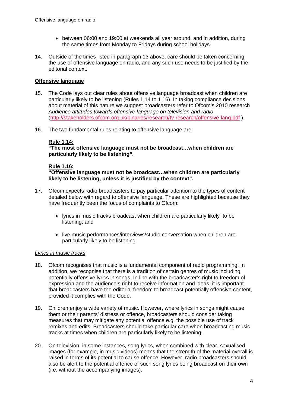- between 06:00 and 19:00 at weekends all year around, and in addition, during the same times from Monday to Fridays during school holidays.
- 14. Outside of the times listed in paragraph 13 above, care should be taken concerning the use of offensive language on radio, and any such use needs to be justified by the editorial context.

## **Offensive language**

- 15. The Code lays out clear rules about offensive language broadcast when children are particularly likely to be listening (Rules 1.14 to 1.16). In taking compliance decisions about material of this nature we suggest broadcasters refer to Ofcom's 2010 research *Audience attitudes towards offensive language on television and radio* [\(http://stakeholders.ofcom.org.uk/binaries/research/tv-research/offensive-lang.pdf](http://stakeholders.ofcom.org.uk/binaries/research/tv-research/offensive-lang.pdf) ).
- 16. The two fundamental rules relating to offensive language are:

## **Rule 1.14:**

**"The most offensive language must not be broadcast…when children are particularly likely to be listening".**

## **Rule 1.16 :**

**"Offensive language must not be broadcast…when children are particularly likely to be listening, unless it is justified by the context".**

- 17. Ofcom expects radio broadcasters to pay particular attention to the types of content detailed below with regard to offensive language. These are highlighted because they have frequently been the focus of complaints to Ofcom:
	- lyrics in music tracks broadcast when children are particularly likely to be listening; and
	- live music performances/interviews/studio conversation when children are particularly likely to be listening.

#### *Lyrics in music tracks*

- 18. Ofcom recognises that music is a fundamental component of radio programming. In addition, we recognise that there is a tradition of certain genres of music including potentially offensive lyrics in songs. In line with the broadcaster's right to freedom of expression and the audience's right to receive information and ideas, it is important that broadcasters have the editorial freedom to broadcast potentially offensive content, provided it complies with the Code.
- 19. Children enjoy a wide variety of music. However, where lyrics in songs might cause them or their parents' distress or offence, broadcasters should consider taking measures that may mitigate any potential offence e.g. the possible use of track remixes and edits. Broadcasters should take particular care when broadcasting music tracks at times when children are particularly likely to be listening.
- 20. On television, in some instances, song lyrics, when combined with clear, sexualised images (for example, in music videos) means that the strength of the material overall is raised in terms of its potential to cause offence. However, radio broadcasters should also be alert to the potential offence of such song lyrics being broadcast on their own (i.e. without the accompanying images).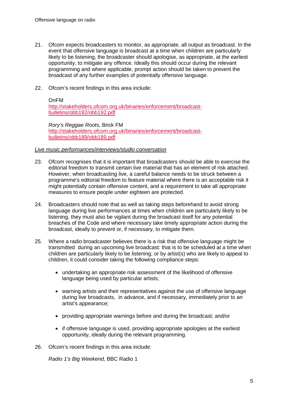- 21. Ofcom expects broadcasters to monitor, as appropriate, all output as broadcast. In the event that offensive language is broadcast at a time when children are particularly likely to be listening, the broadcaster should apologise, as appropriate, at the earliest opportunity, to mitigate any offence. Ideally this should occur during the relevant programming and where applicable, prompt action should be taken to prevent the broadcast of any further examples of potentially offensive language.
- 22. Ofcom's recent findings in this area include:

#### OnFM

[http://stakeholders.ofcom.org.uk/binaries/enforcement/broadcast](http://stakeholders.ofcom.org.uk/binaries/enforcement/broadcast-bulletins/obb192/obb192.pdf)[bulletins/obb192/obb192.pdf](http://stakeholders.ofcom.org.uk/binaries/enforcement/broadcast-bulletins/obb192/obb192.pdf)

*Rory's Reggae Roots,* Brick FM [http://stakeholders.ofcom.org.uk/binaries/enforcement/broadcast](http://stakeholders.ofcom.org.uk/binaries/enforcement/broadcast-bulletins/obb189/obb189.pdf)[bulletins/obb189/obb189.pdf](http://stakeholders.ofcom.org.uk/binaries/enforcement/broadcast-bulletins/obb189/obb189.pdf)

#### *Live music performances/interviews/studio conversation*

- 23. Ofcom recognises that it is important that broadcasters should be able to exercise the editorial freedom to transmit certain live material that has an element of risk attached. However, when broadcasting live, a careful balance needs to be struck between a programme's editorial freedom to feature material where there is an acceptable risk it might potentially contain offensive content, and a requirement to take all appropriate measures to ensure people under eighteen are protected.
- 24. Broadcasters should note that as well as taking steps beforehand to avoid strong language during live performances at times when children are particularly likely to be listening, they must also be vigilant during the broadcast itself for any potential breaches of the Code and where necessary take timely appropriate action during the broadcast, ideally to prevent or, if necessary, to mitigate them.
- 25. Where a radio broadcaster believes there is a risk that offensive language might be transmitted during an upcoming live broadcast: that is to be scheduled at a time when children are particularly likely to be listening; or by artist(s) who are likely to appeal to children, it could consider taking the following compliance steps:
	- undertaking an appropriate risk assessment of the likelihood of offensive language being used by particular artists;
	- warning artists and their representatives against the use of offensive language during live broadcasts, in advance, and if necessary, immediately prior to an artist's appearance;
	- providing appropriate warnings before and during the broadcast; and/or
	- if offensive language is used, providing appropriate apologies at the earliest opportunity, ideally during the relevant programming.
- 26. Ofcom's recent findings in this area include:

*Radio 1's Big Weekend,* BBC Radio 1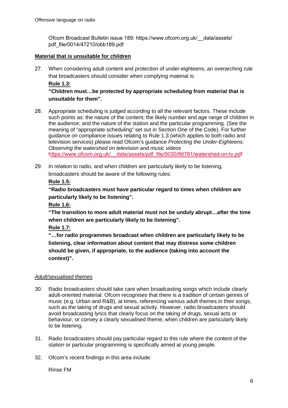[Ofcom Broadcast Bulletin issue 189](https://www.ofcom.org.uk/__data/assets/pdf_file/0014/47210/obb189.pdf): https://www.ofcom.org.uk/\_\_data/assets/ pdf\_file/0014/47210/obb189.pdf

#### **Material that is unsuitable for children**

27. When considering adult content and protection of under-eighteens, an overarching rule that broadcasters should consider when complying material is:

**Rule 1.3:**

## **"Children must…be protected by appropriate scheduling from material that is unsuitable for them".**

- 28. Appropriate scheduling is judged according to all the relevant factors. These include such points as: the nature of the content; the likely number and age range of children in the audience; and the nature of the station and the particular programming. (See the meaning of "appropriate scheduling" set out in Section One of the Code). For further guidance on compliance issues relating to Rule 1.3 (which applies to both radio and television services) please read Ofcom's guidance *Protecting the Under-Eighteens: Observing the watershed on television and music videos* [https://www.ofcom.org.uk/\\_\\_data/assets/pdf\\_file/0030/86781/watershed-on-tv.pdf](https://www.ofcom.org.uk/__data/assets/pdf_file/0030/86781/watershed-on-tv.pdf)
- 29. In relation to radio, and when children are particularly likely to be listening, broadcasters should be aware of the following rules:

#### **Rule 1.5:**

**"Radio broadcasters must have particular regard to times when children are particularly likely to be listening".**

**Rule 1.6:**

**"The transition to more adult material must not be unduly abrupt…after the time when children are particularly likely to be listening".**

**Rule 1.7:**

**"…for radio programmes broadcast when children are particularly likely to be listening, clear information about content that may distress some children should be given, if appropriate, to the audience (taking into account the context)".**

#### *Adult/sexualised themes*

- 30. Radio broadcasters should take care when broadcasting songs which include clearly adult-oriented material. Of com recognises that there is a tradition of certain genres of music (e.g. Urban and R&B), at times, referencing various adult themes in their songs, such as the taking of drugs and sexual activity. However, radio broadcasters should avoid broadcasting lyrics that clearly focus on the taking of drugs, sexual acts or behaviour, or convey a clearly sexualised theme, when children are particularly likely to be listening.
- 31. Radio broadcasters should pay particular regard to this rule where the content of the station or particular programming is specifically aimed at young people.
- 32. Ofcom's recent findings in this area include:

Rinse FM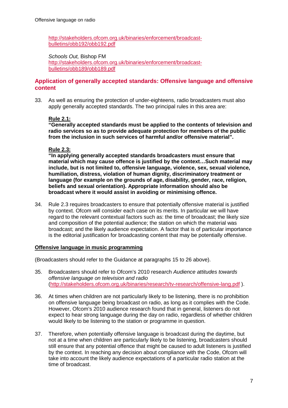[http://stakeholders.ofcom.org.uk/binaries/enforcement/broadcast](http://stakeholders.ofcom.org.uk/binaries/enforcement/broadcast-bulletins/obb192/obb192.pdf)[bulletins/obb192/obb192.pdf](http://stakeholders.ofcom.org.uk/binaries/enforcement/broadcast-bulletins/obb192/obb192.pdf)

*Schools Out,* Bishop FM [http://stakeholders.ofcom.org.uk/binaries/enforcement/broadcast](http://stakeholders.ofcom.org.uk/binaries/enforcement/broadcast-bulletins/obb189/obb189.pdf)[bulletins/obb189/obb189.pdf](http://stakeholders.ofcom.org.uk/binaries/enforcement/broadcast-bulletins/obb189/obb189.pdf)

## **Application of generally accepted standards: Offensive language and offensive content**

33. As well as ensuring the protection of under-eighteens, radio broadcasters must also apply generally accepted standards. The two principal rules in this area are:

#### **Rule 2.1:**

**"Generally accepted standards must be applied to the contents of television and radio services so as to provide adequate protection for members of the public from the inclusion in such services of harmful and/or offensive material".**

#### **Rule 2.3:**

**"In applying generally accepted standards broadcasters must ensure that material which may cause offence is justified by the context…Such material may include, but is not limited to, offensive language, violence, sex, sexual violence, humiliation, distress, violation of human dignity, discriminatory treatment or language (for example on the grounds of age, disability, gender, race, religion, beliefs and sexual orientation). Appropriate information should also be broadcast where it would assist in avoiding or minimising offence.**

34. Rule 2.3 requires broadcasters to ensure that potentially offensive material is justified by context. Ofcom will consider each case on its merits. In particular we will have regard to the relevant contextual factors such as: the time of broadcast; the likely size and composition of the potential audience; the station on which the material was broadcast; and the likely audience expectation. A factor that is of particular importance is the editorial justification for broadcasting content that may be potentially offensive.

#### **Offensive language in music programming**

(Broadcasters should refer to the Guidance at paragraphs 15 to 26 above).

- 35. Broadcasters should refer to Ofcom's 2010 research *Audience attitudes towards offensive language on television and radio* [\(http://stakeholders.ofcom.org.uk/binaries/research/tv-research/offensive-lang.pdf](http://stakeholders.ofcom.org.uk/binaries/research/tv-research/offensive-lang.pdf) ).
- 36. At times when children are not particularly likely to be listening, there is no prohibition on offensive language being broadcast on radio, as long as it complies with the Code. However, Ofcom's 2010 audience research found that in general, listeners do not expect to hear strong language during the day on radio, regardless of whether children would likely to be listening to the station or programme in question.
- 37. Therefore, when potentially offensive language is broadcast during the daytime, but not at a time when children are particularly likely to be listening, broadcasters should still ensure that any potential offence that might be caused to adult listeners is justified by the context. In reaching any decision about compliance with the Code, Ofcom will take into account the likely audience expectations of a particular radio station at the time of broadcast.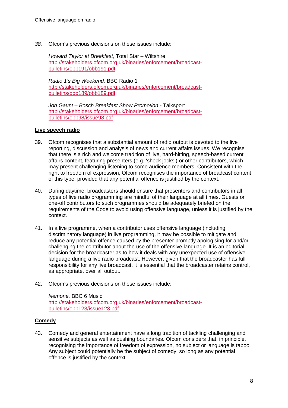*38.* Ofcom's previous decisions on these issues include:

*Howard Taylor at Breakfast*, Total Star – Wiltshire [http://stakeholders.ofcom.org.uk/binaries/enforcement/broadcast](http://stakeholders.ofcom.org.uk/binaries/enforcement/broadcast-bulletins/obb191/obb191.pdf)[bulletins/obb191/obb191.pdf](http://stakeholders.ofcom.org.uk/binaries/enforcement/broadcast-bulletins/obb191/obb191.pdf)

*Radio 1's Big Weekend,* BBC Radio 1 [http://stakeholders.ofcom.org.uk/binaries/enforcement/broadcast](http://stakeholders.ofcom.org.uk/binaries/enforcement/broadcast-bulletins/obb189/obb189.pdf)[bulletins/obb189/obb189.pdf](http://stakeholders.ofcom.org.uk/binaries/enforcement/broadcast-bulletins/obb189/obb189.pdf)

*Jon Gaunt – Bosch Breakfast Show Promotion -* Talksport [http://stakeholders.ofcom.org.uk/binaries/enforcement/broadcast](http://stakeholders.ofcom.org.uk/binaries/enforcement/broadcast-bulletins/obb98/issue98.pdf)[bulletins/obb98/issue98.pdf](http://stakeholders.ofcom.org.uk/binaries/enforcement/broadcast-bulletins/obb98/issue98.pdf)

#### **Live speech radio**

- 39. Ofcom recognises that a substantial amount of radio output is devoted to the live reporting, discussion and analysis of news and current affairs issues. We recognise that there is a rich and welcome tradition of live, hard-hitting, speech-based current affairs content, featuring presenters (e.g. 'shock jocks') or other contributors, which may present challenging listening to some audience members. Consistent with the right to freedom of expression, Ofcom recognises the importance of broadcast content of this type, provided that any potential offence is justified by the context.
- 40. During daytime, broadcasters should ensure that presenters and contributors in all types of live radio programming are mindful of their language at all times. Guests or one-off contributors to such programmes should be adequately briefed on the requirements of the Code to avoid using offensive language, unless it is justified by the context.
- 41. In a live programme, when a contributor uses offensive language (including discriminatory language) in live programming, it may be possible to mitigate and reduce any potential offence caused by the presenter promptly apologising for and/or challenging the contributor about the use of the offensive language. It is an editorial decision for the broadcaster as to how it deals with any unexpected use of offensive language during a live radio broadcast. However, given that the broadcaster has full responsibility for any live broadcast, it is essential that the broadcaster retains control, as appropriate, over all output.
- 42. Ofcom's previous decisions on these issues include:

*Nemone,* BBC 6 Music [http://stakeholders.ofcom.org.uk/binaries/enforcement/broadcast](http://stakeholders.ofcom.org.uk/binaries/enforcement/broadcast-bulletins/obb123/issue123.pdf)[bulletins/obb123/issue123.pdf](http://stakeholders.ofcom.org.uk/binaries/enforcement/broadcast-bulletins/obb123/issue123.pdf)

#### **Comedy**

43. Comedy and general entertainment have a long tradition of tackling challenging and sensitive subjects as well as pushing boundaries. Ofcom considers that, in principle, recognising the importance of freedom of expression, no subject or language is taboo. Any subject could potentially be the subject of comedy, so long as any potential offence is justified by the context.